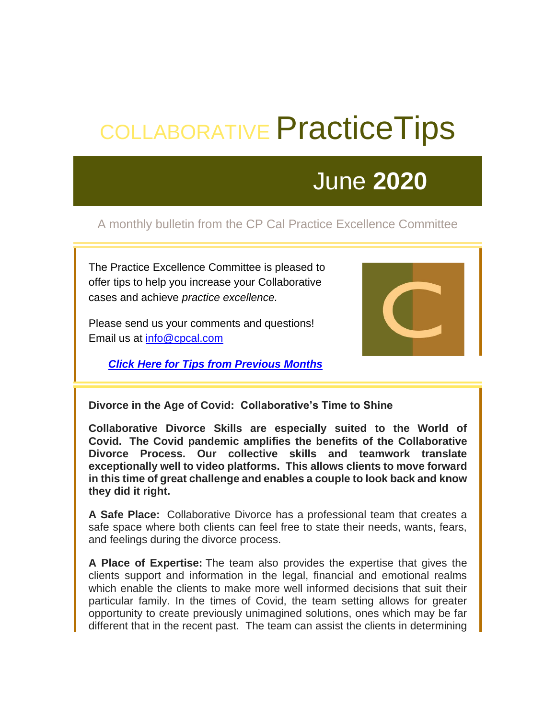# COLLABORATIVE Practice Tips

## June **2020**

### A monthly bulletin from the CP Cal Practice Excellence Committee

The Practice Excellence Committee is pleased to offer tips to help you increase your Collaborative cases and achieve *practice excellence.*

Please send us your comments and questions! Email us at [info@cpcal.com](mailto:info@cpcal.com)

*[Click Here for Tips from Previous Months](https://cpc49.wildapricot.org/EmailTracker/LinkTracker.ashx?linkAndRecipientCode=SLF4uV8ocsxeO4hysxU28Vzec5IymlbzDbievG5uckw7jxzfJFmY3d4yRopsAb5IlYsvyZVXC1vyIw4OjE72czCTeLiFyzSOL9SA%2fhTOU8E%3d)*



**Divorce in the Age of Covid: Collaborative's Time to Shine** 

**Collaborative Divorce Skills are especially suited to the World of Covid. The Covid pandemic amplifies the benefits of the Collaborative Divorce Process. Our collective skills and teamwork translate exceptionally well to video platforms. This allows clients to move forward in this time of great challenge and enables a couple to look back and know they did it right.** 

**A Safe Place:** Collaborative Divorce has a professional team that creates a safe space where both clients can feel free to state their needs, wants, fears, and feelings during the divorce process.

**A Place of Expertise:** The team also provides the expertise that gives the clients support and information in the legal, financial and emotional realms which enable the clients to make more well informed decisions that suit their particular family. In the times of Covid, the team setting allows for greater opportunity to create previously unimagined solutions, ones which may be far different that in the recent past. The team can assist the clients in determining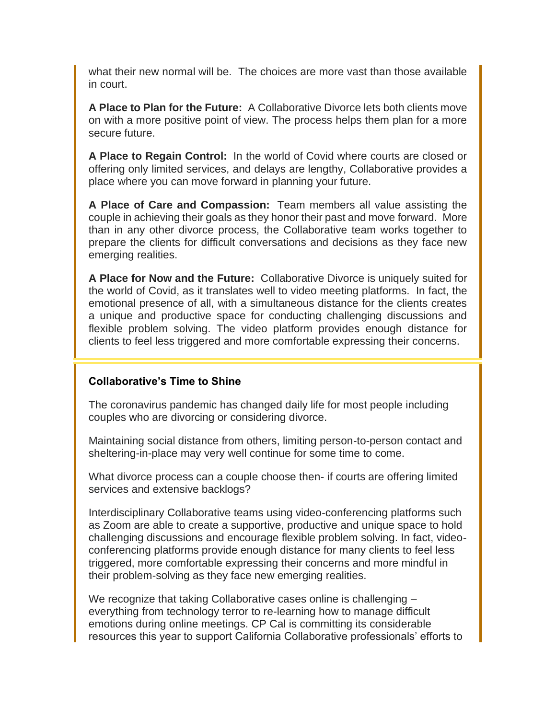what their new normal will be. The choices are more vast than those available in court.

**A Place to Plan for the Future:** A Collaborative Divorce lets both clients move on with a more positive point of view. The process helps them plan for a more secure future.

**A Place to Regain Control:** In the world of Covid where courts are closed or offering only limited services, and delays are lengthy, Collaborative provides a place where you can move forward in planning your future.

**A Place of Care and Compassion:** Team members all value assisting the couple in achieving their goals as they honor their past and move forward. More than in any other divorce process, the Collaborative team works together to prepare the clients for difficult conversations and decisions as they face new emerging realities.

**A Place for Now and the Future:** Collaborative Divorce is uniquely suited for the world of Covid, as it translates well to video meeting platforms.In fact, the emotional presence of all, with a simultaneous distance for the clients creates a unique and productive space for conducting challenging discussions and flexible problem solving. The video platform provides enough distance for clients to feel less triggered and more comfortable expressing their concerns.

#### **Collaborative's Time to Shine**

The coronavirus pandemic has changed daily life for most people including couples who are divorcing or considering divorce.

Maintaining social distance from others, limiting person-to-person contact and sheltering-in-place may very well continue for some time to come.

What divorce process can a couple choose then- if courts are offering limited services and extensive backlogs?

Interdisciplinary Collaborative teams using video-conferencing platforms such as Zoom are able to create a supportive, productive and unique space to hold challenging discussions and encourage flexible problem solving. In fact, videoconferencing platforms provide enough distance for many clients to feel less triggered, more comfortable expressing their concerns and more mindful in their problem-solving as they face new emerging realities.

We recognize that taking Collaborative cases online is challenging – everything from technology terror to re-learning how to manage difficult emotions during online meetings. CP Cal is committing its considerable resources this year to support California Collaborative professionals' efforts to